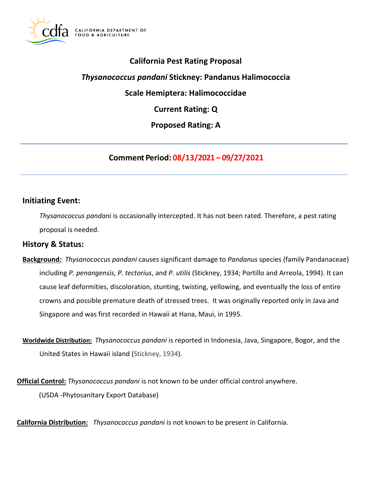

# **California Pest Rating Proposal**

*Thysanococcus pandani* **Stickney: Pandanus Halimococcia** 

**Scale Hemiptera: Halimococcidae** 

**Current Rating: Q** 

**Proposed Rating: A** 

**Comment Period: 08/13/2021 – 09/27/2021**

## **Initiating Event:**

*Thysanococcus pandani* is occasionally intercepted. It has not been rated. Therefore, a pest rating proposal is needed.

### **History & Status:**

- **Background***: Thysanococcus pandani* causes significant damage to *Pandanus* species (family Pandanaceae) including *P. penangensis*, *P. tectorius*, and *P. utilis* (Stickney, 1934; Portillo and Arreola, 1994). It can cause leaf deformities, discoloration, stunting, twisting, yellowing, and eventually the loss of entire crowns and possible premature death of stressed trees. It was originally reported only in Java and Singapore and was first recorded in Hawaii at Hana, Maui, in 1995.
- **Worldwide Distribution:** *Thysanococcus pandani* is reported in Indonesia, Java, Singapore, Bogor, and the United States in Hawaii island (Stickney, 1934).

**Official Control:** *Thysanococcus pandani* is not known to be under official control anywhere. (USDA -Phytosanitary Export Database)

**California Distribution:** *Thysanococcus pandani* is not known to be present in California.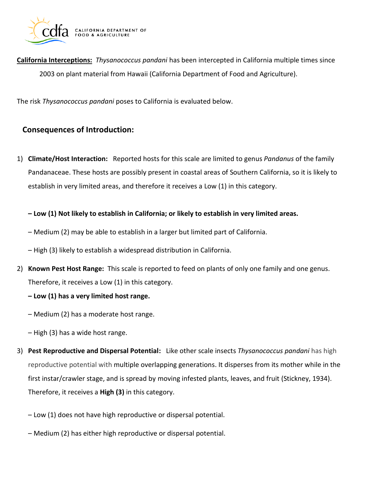

**California Interceptions:** *Thysanococcus pandani* has been intercepted in California multiple times since 2003 on plant material from Hawaii (California Department of Food and Agriculture).

The risk *Thysanococcus pandani* poses to California is evaluated below.

# **Consequences of Introduction:**

1) **Climate/Host Interaction:** Reported hosts for this scale are limited to genus *Pandanus* of the family Pandanaceae. These hosts are possibly present in coastal areas of Southern California, so it is likely to establish in very limited areas, and therefore it receives a Low (1) in this category.

**– Low (1) Not likely to establish in California; or likely to establish in very limited areas.** 

- Medium (2) may be able to establish in a larger but limited part of California.
- High (3) likely to establish a widespread distribution in California.
- 2) **Known Pest Host Range:** This scale is reported to feed on plants of only one family and one genus. Therefore, it receives a Low (1) in this category.
	- **– Low (1) has a very limited host range.**
	- Medium (2) has a moderate host range.
	- High (3) has a wide host range.
- 3) **Pest Reproductive and Dispersal Potential:** Like other scale insects *Thysanococcus pandani* has high reproductive potential with multiple overlapping generations. It disperses from its mother while in the first instar/crawler stage, and is spread by moving infested plants, leaves, and fruit (Stickney, 1934). Therefore, it receives a **High (3)** in this category.
	- Low (1) does not have high reproductive or dispersal potential.
	- Medium (2) has either high reproductive or dispersal potential.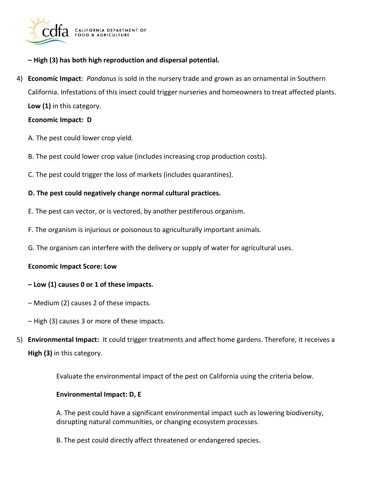

**– High (3) has both high reproduction and dispersal potential.** 

4) **Economic Impact**: *Pandanus* is sold in the nursery trade and grown as an ornamental in Southern California. Infestations of this insect could trigger nurseries and homeowners to treat affected plants. **Low (1)** in this category.

#### **Economic Impact: D**

- A. The pest could lower crop yield.
- B. The pest could lower crop value (includes increasing crop production costs).
- C. The pest could trigger the loss of markets (includes quarantines).

### **D. The pest could negatively change normal cultural practices.**

- E. The pest can vector, or is vectored, by another pestiferous organism.
- F. The organism is injurious or poisonous to agriculturally important animals.
- G. The organism can interfere with the delivery or supply of water for agricultural uses.

#### **Economic Impact Score: Low**

#### **– Low (1) causes 0 or 1 of these impacts.**

- Medium (2) causes 2 of these impacts.
- High (3) causes 3 or more of these impacts.
- 5) **Environmental Impact:** It could trigger treatments and affect home gardens. Therefore, it receives a **High (3)** in this category.

Evaluate the environmental impact of the pest on California using the criteria below.

#### **Environmental Impact: D, E**

A. The pest could have a significant environmental impact such as lowering biodiversity, disrupting natural communities, or changing ecosystem processes.

B. The pest could directly affect threatened or endangered species.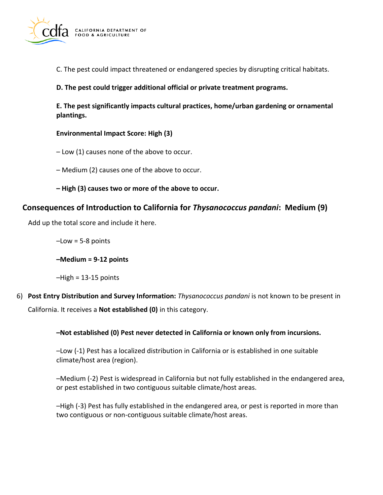

C. The pest could impact threatened or endangered species by disrupting critical habitats.

**D. The pest could trigger additional official or private treatment programs.** 

**E. The pest significantly impacts cultural practices, home/urban gardening or ornamental plantings.** 

### **Environmental Impact Score: High (3)**

- Low (1) causes none of the above to occur.
- Medium (2) causes one of the above to occur.
- **– High (3) causes two or more of the above to occur.**

# **Consequences of Introduction to California for** *Thysanococcus pandani***: Medium (9)**

Add up the total score and include it here.

 $-Low = 5-8$  points

**–Medium = 9-12 points** 

–High = 13-15 points

6) **Post Entry Distribution and Survey Information:** *Thysanococcus pandani* is not known to be present in California. It receives a **Not established (0)** in this category.

## **–Not established (0) Pest never detected in California or known only from incursions.**

–Low (-1) Pest has a localized distribution in California or is established in one suitable climate/host area (region).

–Medium (-2) Pest is widespread in California but not fully established in the endangered area, or pest established in two contiguous suitable climate/host areas.

–High (-3) Pest has fully established in the endangered area, or pest is reported in more than two contiguous or non-contiguous suitable climate/host areas.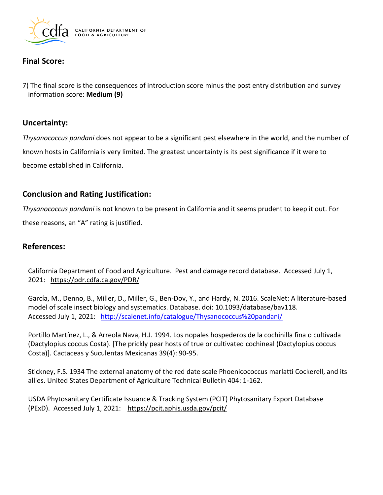

# **Final Score:**

7) The final score is the consequences of introduction score minus the post entry distribution and survey information score: **Medium (9)** 

### **Uncertainty:**

*Thysanococcus pandani* does not appear to be a significant pest elsewhere in the world, and the number of known hosts in California is very limited. The greatest uncertainty is its pest significance if it were to become established in California.

# **Conclusion and Rating Justification:**

 these reasons, an "A" rating is justified. *Thysanococcus pandani* is not known to be present in California and it seems prudent to keep it out. For

# **References:**

California Department of Food and Agriculture. Pest and damage record database. Accessed July 1, 2021: <https://pdr.cdfa.ca.gov/PDR/>

García, M., Denno, B., Miller, D., Miller, G., Ben-Dov, Y., and Hardy, N. 2016. ScaleNet: A literature-based model of scale insect biology and systematics. Database. doi: 10.1093/database/bav118. Accessed July 1, 2021: <http://scalenet.info/catalogue/Thysanococcus%20pandani/>

Portillo Martínez, L., & Arreola Nava, H.J. 1994. Los nopales hospederos de la cochinilla fina o cultivada (Dactylopius coccus Costa). [The prickly pear hosts of true or cultivated cochineal (Dactylopius coccus Costa)]. Cactaceas y Suculentas Mexicanas 39(4): 90-95.

Stickney, F.S. 1934 The external anatomy of the red date scale Phoenicococcus marlatti Cockerell, and its allies. United States Department of Agriculture Technical Bulletin 404: 1-162.

USDA Phytosanitary Certificate Issuance & Tracking System (PCIT) Phytosanitary Export Database (PExD). Accessed July 1, 2021: <https://pcit.aphis.usda.gov/pcit/>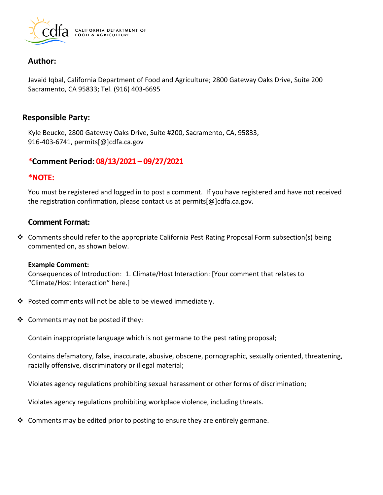

## **Author:**

Javaid Iqbal, California Department of Food and Agriculture; 2800 Gateway Oaks Drive, Suite 200 Sacramento, CA 95833; Tel. (916) 403-6695

### **Responsible Party:**

Kyle Beucke, 2800 Gateway Oaks Drive, Suite #200, Sacramento, CA, 95833, 916-403-6741, [permits\[@\]cdfa.ca.gov](https://permits[@]cdfa.ca.gov) 

## **\*Comment Period: 08/13/2021 – 09/27/2021**

### **\*NOTE:**

You must be registered and logged in to post a comment. If you have registered and have not received the registration confirmation, please contact us at [permits\[@\]cdfa.ca.gov](https://permits[@]cdfa.ca.gov).

# **Comment Format:**

❖ Comments should refer to the appropriate California Pest Rating Proposal Form subsection(s) being commented on, as shown below.

#### **Example Comment:**

Consequences of Introduction: 1. Climate/Host Interaction: [Your comment that relates to "Climate/Host Interaction" here.]

- ❖ Posted comments will not be able to be viewed immediately.
- ❖ Comments may not be posted if they:

Contain inappropriate language which is not germane to the pest rating proposal;

Contains defamatory, false, inaccurate, abusive, obscene, pornographic, sexually oriented, threatening, racially offensive, discriminatory or illegal material;

Violates agency regulations prohibiting sexual harassment or other forms of discrimination;

Violates agency regulations prohibiting workplace violence, including threats.

◆ Comments may be edited prior to posting to ensure they are entirely germane.